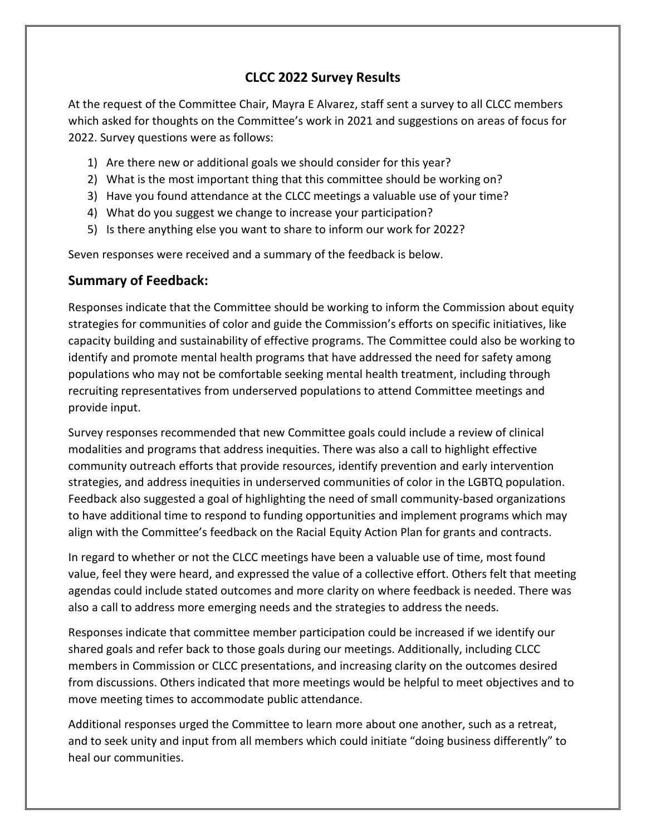# **CLCC 2022 Survey Results**

At the request of the Committee Chair, Mayra E Alvarez, staff sent a survey to all CLCC members which asked for thoughts on the Committee's work in 2021 and suggestions on areas of focus for 2022. Survey questions were as follows:

- 1) Are there new or additional goals we should consider for this year?
- 2) What is the most important thing that this committee should be working on?
- 3) Have you found attendance at the CLCC meetings a valuable use of your time?
- 4) What do you suggest we change to increase your participation?
- 5) Is there anything else you want to share to inform our work for 2022?

Seven responses were received and a summary of the feedback is below.

## **Summary of Feedback:**

Responses indicate that the Committee should be working to inform the Commission about equity strategies for communities of color and guide the Commission's efforts on specific initiatives, like capacity building and sustainability of effective programs. The Committee could also be working to identify and promote mental health programs that have addressed the need for safety among populations who may not be comfortable seeking mental health treatment, including through recruiting representatives from underserved populations to attend Committee meetings and provide input.

Survey responses recommended that new Committee goals could include a review of clinical modalities and programs that address inequities. There was also a call to highlight effective community outreach efforts that provide resources, identify prevention and early intervention strategies, and address inequities in underserved communities of color in the LGBTQ population. Feedback also suggested a goal of highlighting the need of small community-based organizations to have additional time to respond to funding opportunities and implement programs which may align with the Committee's feedback on the Racial Equity Action Plan for grants and contracts.

In regard to whether or not the CLCC meetings have been a valuable use of time, most found value, feel they were heard, and expressed the value of a collective effort. Others felt that meeting agendas could include stated outcomes and more clarity on where feedback is needed. There was also a call to address more emerging needs and the strategies to address the needs.

Responses indicate that committee member participation could be increased if we identify our shared goals and refer back to those goals during our meetings. Additionally, including CLCC members in Commission or CLCC presentations, and increasing clarity on the outcomes desired from discussions. Others indicated that more meetings would be helpful to meet objectives and to move meeting times to accommodate public attendance.

Additional responses urged the Committee to learn more about one another, such as a retreat, and to seek unity and input from all members which could initiate "doing business differently" to heal our communities.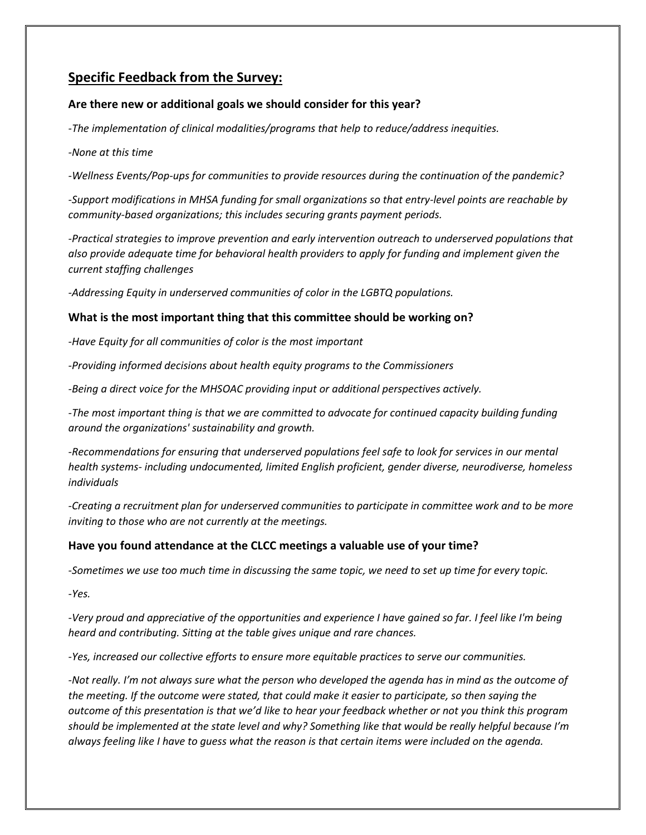# **Specific Feedback from the Survey:**

### **Are there new or additional goals we should consider for this year?**

*-The implementation of clinical modalities/programs that help to reduce/address inequities.*

*-None at this time*

*-Wellness Events/Pop-ups for communities to provide resources during the continuation of the pandemic?*

*-Support modifications in MHSA funding for small organizations so that entry-level points are reachable by community-based organizations; this includes securing grants payment periods.*

*-Practical strategies to improve prevention and early intervention outreach to underserved populations that also provide adequate time for behavioral health providers to apply for funding and implement given the current staffing challenges*

*-Addressing Equity in underserved communities of color in the LGBTQ populations.*

#### **What is the most important thing that this committee should be working on?**

*-Have Equity for all communities of color is the most important*

*-Providing informed decisions about health equity programs to the Commissioners*

*-Being a direct voice for the MHSOAC providing input or additional perspectives actively.*

-The most important thing is that we are committed to advocate for continued capacity building funding *around the organizations' sustainability and growth.*

*-Recommendations for ensuring that underserved populations feel safe to look for services in our mental health systems- including undocumented, limited English proficient, gender diverse, neurodiverse, homeless individuals*

*-Creating a recruitment plan for underserved communities to participate in committee work and to be more inviting to those who are not currently at the meetings.*

#### **Have you found attendance at the CLCC meetings a valuable use of your time?**

*-Sometimes we use too much time in discussing the same topic, we need to set up time for every topic.*

*-Yes.*

*-Very proud and appreciative of the opportunities and experience I have gained so far. I feel like I'm being heard and contributing. Sitting at the table gives unique and rare chances.*

*-Yes, increased our collective efforts to ensure more equitable practices to serve our communities.*

*-Not really. I'm not always sure what the person who developed the agenda has in mind as the outcome of the meeting. If the outcome were stated, that could make it easier to participate, so then saying the outcome of this presentation is that we'd like to hear your feedback whether or not you think this program should be implemented at the state level and why? Something like that would be really helpful because I'm always feeling like I have to guess what the reason is that certain items were included on the agenda.*